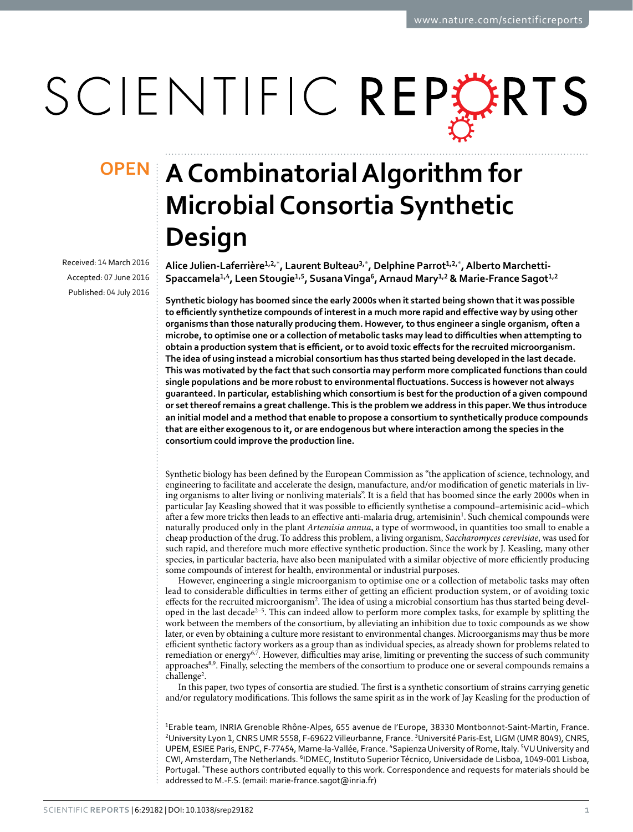# SCIENTIFIC REPERTS

Received: 14 March 2016 accepted: 07 June 2016 Published: 04 July 2016

## **A Combinatorial Algorithm for Microbial Consortia Synthetic Design**

**Alice Julien-Laferrière<sup>1</sup>,2,**\* **, Laurent Bulteau<sup>3</sup>,**\* **, Delphine Parrot<sup>1</sup>,2,**\* **, Alberto Marchetti-**Spaccamela<sup>1,4</sup>, Leen Stougie<sup>1,5</sup>, Susana Vinga<sup>6</sup>, Arnaud Mary<sup>1,2</sup> & Marie-France Sagot<sup>1,2</sup>

**Synthetic biology has boomed since the early 2000s when it started being shown that it was possible to efficiently synthetize compounds of interest in a much more rapid and effective way by using other organisms than those naturally producing them. However, to thus engineer a single organism, often a microbe, to optimise one or a collection of metabolic tasks may lead to difficulties when attempting to obtain a production system that is efficient, or to avoid toxic effects for the recruited microorganism. The idea of using instead a microbial consortium has thus started being developed in the last decade. This was motivated by the fact that such consortia may perform more complicated functions than could single populations and be more robust to environmental fluctuations. Success is however not always guaranteed. In particular, establishing which consortium is best for the production of a given compound or set thereof remains a great challenge. This is the problem we address in this paper. We thus introduce an initial model and a method that enable to propose a consortium to synthetically produce compounds that are either exogenous to it, or are endogenous but where interaction among the species in the consortium could improve the production line.**

Synthetic biology has been defined by the European Commission as "the application of science, technology, and engineering to facilitate and accelerate the design, manufacture, and/or modification of genetic materials in living organisms to alter living or nonliving materials". It is a field that has boomed since the early 2000s when in particular Jay Keasling showed that it was possible to efficiently synthetise a compound–artemisinic acid–which after a few more tricks then leads to an effective anti-malaria drug, artemisinin<sup>[1](#page-10-0)</sup>. Such chemical compounds were naturally produced only in the plant *Artemisia annua*, a type of wormwood, in quantities too small to enable a cheap production of the drug. To address this problem, a living organism, *Saccharomyces cerevisiae*, was used for such rapid, and therefore much more effective synthetic production. Since the work by J. Keasling, many other species, in particular bacteria, have also been manipulated with a similar objective of more efficiently producing some compounds of interest for health, environmental or industrial purposes.

However, engineering a single microorganism to optimise one or a collection of metabolic tasks may often lead to considerable difficulties in terms either of getting an efficient production system, or of avoiding toxic effects for the recruited microorganism<sup>2</sup>. The idea of using a microbial consortium has thus started being developed in the last decade<sup>2–5</sup>. This can indeed allow to perform more complex tasks, for example by splitting the work between the members of the consortium, by alleviating an inhibition due to toxic compounds as we show later, or even by obtaining a culture more resistant to environmental changes. Microorganisms may thus be more efficient synthetic factory workers as a group than as individual species, as already shown for problems related to remediation or energy<sup>6[,7](#page-10-3)</sup>. However, difficulties may arise, limiting or preventing the success of such community approaches<sup>8[,9](#page-10-5)</sup>. Finally, selecting the members of the consortium to produce one or several compounds remains a challenge<sup>2</sup>.

In this paper, two types of consortia are studied. The first is a synthetic consortium of strains carrying genetic and/or regulatory modifications. This follows the same spirit as in the work of Jay Keasling for the production of

1Erable team, INRIA Grenoble Rhône-Alpes, 655 avenue de I'Europe, 38330 Montbonnot-Saint-Martin, France. <sup>2</sup>University Lyon 1, CNRS UMR 5558, F-69622 Villeurbanne, France. <sup>3</sup>Université Paris-Est, LIGM (UMR 8049), CNRS, UPEM, ESIEE Paris, ENPC, F-77454, Marne-la-Vallée, France. <sup>4</sup>Sapienza University of Rome, Italy. <sup>5</sup>VU University and CWI, Amsterdam, The Netherlands. <sup>6</sup>IDMEC, Instituto Superior Técnico, Universidade de Lisboa, 1049-001 Lisboa, Portugal. \* These authors contributed equally to this work. Correspondence and requests for materials should be addressed to M.-F.S. (email: [marie-france.sagot@inria.fr\)](mailto:marie-france.sagot@inria.fr)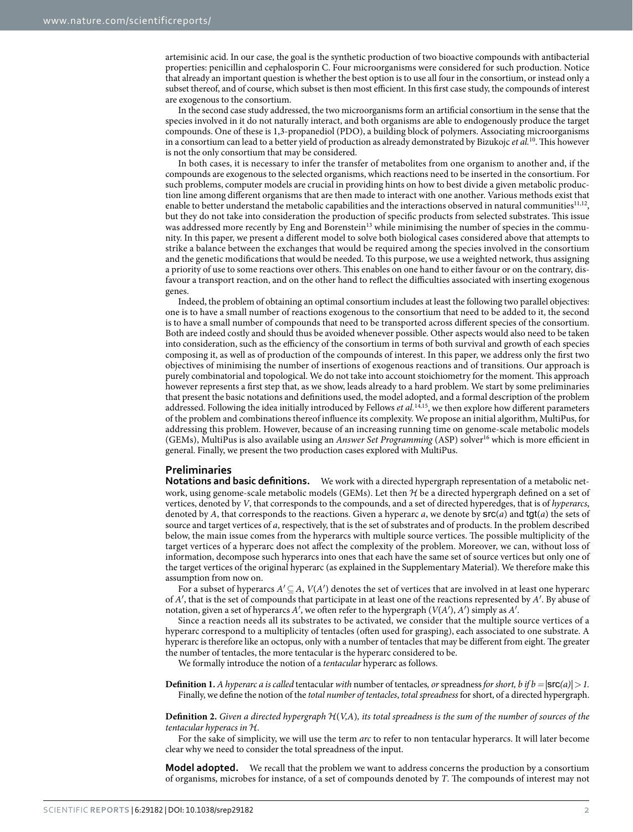artemisinic acid. In our case, the goal is the synthetic production of two bioactive compounds with antibacterial properties: penicillin and cephalosporin C. Four microorganisms were considered for such production. Notice that already an important question is whether the best option is to use all four in the consortium, or instead only a subset thereof, and of course, which subset is then most efficient. In this first case study, the compounds of interest are exogenous to the consortium.

In the second case study addressed, the two microorganisms form an artificial consortium in the sense that the species involved in it do not naturally interact, and both organisms are able to endogenously produce the target compounds. One of these is 1,3-propanediol (PDO), a building block of polymers. Associating microorganisms in a consortium can lead to a better yield of production as already demonstrated by Bizukojc *et al.*<sup>10</sup>. This however is not the only consortium that may be considered.

In both cases, it is necessary to infer the transfer of metabolites from one organism to another and, if the compounds are exogenous to the selected organisms, which reactions need to be inserted in the consortium. For such problems, computer models are crucial in providing hints on how to best divide a given metabolic production line among different organisms that are then made to interact with one another. Various methods exist that enable to better understand the metabolic capabilities and the interactions observed in natural communities $11,12$ , but they do not take into consideration the production of specific products from selected substrates. This issue was addressed more recently by Eng and Borenstein<sup>[13](#page-10-9)</sup> while minimising the number of species in the community. In this paper, we present a different model to solve both biological cases considered above that attempts to strike a balance between the exchanges that would be required among the species involved in the consortium and the genetic modifications that would be needed. To this purpose, we use a weighted network, thus assigning a priority of use to some reactions over others. This enables on one hand to either favour or on the contrary, disfavour a transport reaction, and on the other hand to reflect the difficulties associated with inserting exogenous genes.

Indeed, the problem of obtaining an optimal consortium includes at least the following two parallel objectives: one is to have a small number of reactions exogenous to the consortium that need to be added to it, the second is to have a small number of compounds that need to be transported across different species of the consortium. Both are indeed costly and should thus be avoided whenever possible. Other aspects would also need to be taken into consideration, such as the efficiency of the consortium in terms of both survival and growth of each species composing it, as well as of production of the compounds of interest. In this paper, we address only the first two objectives of minimising the number of insertions of exogenous reactions and of transitions. Our approach is purely combinatorial and topological. We do not take into account stoichiometry for the moment. This approach however represents a first step that, as we show, leads already to a hard problem. We start by some preliminaries that present the basic notations and definitions used, the model adopted, and a formal description of the problem addressed. Following the idea initially introduced by Fellows *et al.*[14,](#page-10-10)[15,](#page-10-11) we then explore how different parameters of the problem and combinations thereof influence its complexity. We propose an initial algorithm, MultiPus, for addressing this problem. However, because of an increasing running time on genome-scale metabolic models (GEMs), MultiPus is also available using an *Answer Set Programming* (ASP) solver<sup>16</sup> which is more efficient in general. Finally, we present the two production cases explored with MultiPus.

#### **Preliminaries**

**Notations and basic definitions.** We work with a directed hypergraph representation of a metabolic network, using genome-scale metabolic models (GEMs). Let then  $H$  be a directed hypergraph defined on a set of vertices, denoted by *V*, that corresponds to the compounds, and a set of directed hyperedges, that is of *hyperarcs*, denoted by *A*, that corresponds to the reactions. Given a hyperarc *a*, we denote by src(*a*) and tgt(*a*) the sets of source and target vertices of *a*, respectively, that is the set of substrates and of products. In the problem described below, the main issue comes from the hyperarcs with multiple source vertices. The possible multiplicity of the target vertices of a hyperarc does not affect the complexity of the problem. Moreover, we can, without loss of information, decompose such hyperarcs into ones that each have the same set of source vertices but only one of the target vertices of the original hyperarc (as explained in the Supplementary Material). We therefore make this assumption from now on.

For a subset of hyperarcs *A*′⊆*A*, *V*(*A*′) denotes the set of vertices that are involved in at least one hyperarc of *A*′, that is the set of compounds that participate in at least one of the reactions represented by *A*′. By abuse of notation, given a set of hyperarcs *A*′, we often refer to the hypergraph (*V*(*A*′), *A*′) simply as *A*′.

Since a reaction needs all its substrates to be activated, we consider that the multiple source vertices of a hyperarc correspond to a multiplicity of tentacles (often used for grasping), each associated to one substrate. A hyperarc is therefore like an octopus, only with a number of tentacles that may be different from eight. The greater the number of tentacles, the more tentacular is the hyperarc considered to be.

We formally introduce the notion of a *tentacular* hyperarc as follows.

**Definition 1.** *A hyperarc a is called* tentacular *with* number of tentacles*, or* spreadness *for short, b if b=|*src*(a)|*>*1.* Finally, we define the notion of the *total number of tentacles*, *total spreadness* for short, of a directed hypergraph.

**Definition 2.** *Given a directed hypergraph* H(*V,A*)*, its total spreadness is the sum of the number of sources of the tentacular hyperacs in H.* 

For the sake of simplicity, we will use the term *arc* to refer to non tentacular hyperarcs. It will later become clear why we need to consider the total spreadness of the input.

**Model adopted.** We recall that the problem we want to address concerns the production by a consortium of organisms, microbes for instance, of a set of compounds denoted by *T*. The compounds of interest may not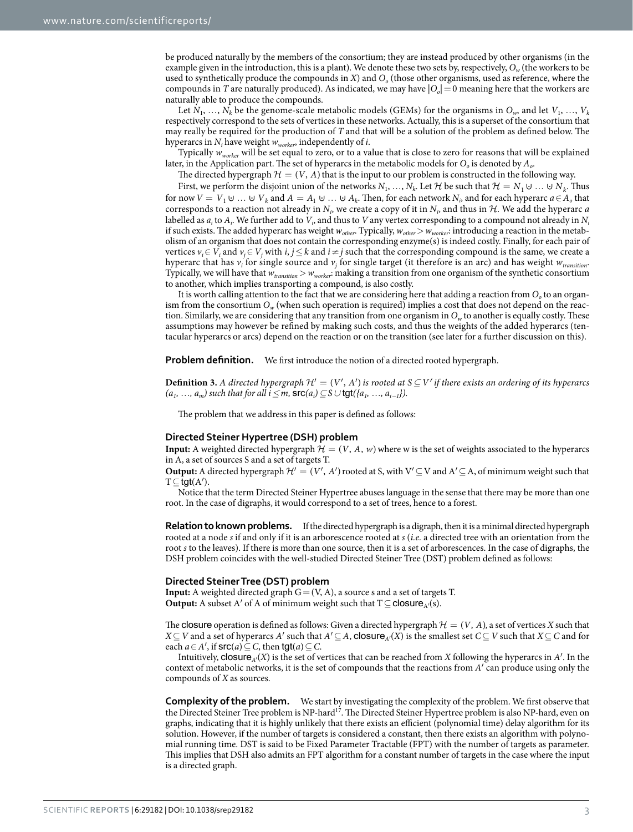be produced naturally by the members of the consortium; they are instead produced by other organisms (in the example given in the introduction, this is a plant). We denote these two sets by, respectively,  $O_w$  (the workers to be used to synthetically produce the compounds in *X*) and  $O<sub>o</sub>$  (those other organisms, used as reference, where the compounds in *T* are naturally produced). As indicated, we may have  $|O_0|=0$  meaning here that the workers are naturally able to produce the compounds.

Let  $N_1, \ldots, N_k$  be the genome-scale metabolic models (GEMs) for the organisms in  $O_w$ , and let  $V_1, \ldots, V_k$ respectively correspond to the sets of vertices in these networks. Actually, this is a superset of the consortium that may really be required for the production of *T* and that will be a solution of the problem as defined below. The hyperarcs in  $N_i$  have weight  $w_{\textit{worker}}$ , independently of *i*.

Typically *wworker* will be set equal to zero, or to a value that is close to zero for reasons that will be explained later, in the Application part. The set of hyperarcs in the metabolic models for  $O$ <sub>o</sub> is denoted by  $A$ <sub>o</sub>.

The directed hypergraph  $\mathcal{H} = (V, A)$  that is the input to our problem is constructed in the following way.

First, we perform the disjoint union of the networks  $N_1, ..., N_k$ . Let  $H$  be such that  $H = N_1 \cup ... \cup N_k$ . Thus for now  $V = V_1 \cup ... \cup V_k$  and  $A = A_1 \cup ... \cup A_k$ . Then, for each network  $N_i$ , and for each hyperarc  $a \in A_o$  that corresponds to a reaction not already in  $N_i$ , we create a copy of it in  $N_i$ , and thus in  $H$ . We add the hyperarc *a* labelled as  $a_i$  to  $A_i$ . We further add to  $V_i$ , and thus to  $V$  any vertex corresponding to a compound not already in  $N_i$ if such exists. The added hyperarc has weight  $w_{other}$ . Typically,  $w_{other} > w_{worker}$ : introducing a reaction in the metabolism of an organism that does not contain the corresponding enzyme(s) is indeed costly. Finally, for each pair of vertices  $v_i \in V_i$  and  $v_j \in V_j$  with  $i, j \leq k$  and  $i \neq j$  such that the corresponding compound is the same, we create a hyperarc that has  $v_i$  for single source and  $v_j$  for single target (it therefore is an arc) and has weight  $w_{transition}$ . Typically, we will have that  $w_{transition} > w_{worker}$ : making a transition from one organism of the synthetic consortium to another, which implies transporting a compound, is also costly.

It is worth calling attention to the fact that we are considering here that adding a reaction from  $O<sub>o</sub>$  to an organism from the consortium *Ow* (when such operation is required) implies a cost that does not depend on the reaction. Similarly, we are considering that any transition from one organism in *Ow* to another is equally costly. These assumptions may however be refined by making such costs, and thus the weights of the added hyperarcs (tentacular hyperarcs or arcs) depend on the reaction or on the transition (see later for a further discussion on this).

**Problem definition.** We first introduce the notion of a directed rooted hypergraph.

**Definition 3.** A directed hypergraph  $\mathcal{H}' = (V', A')$  is rooted at  $S \subseteq V'$  if there exists an ordering of its hyperarcs *(a<sub>1</sub>, ∴, a<sub>m</sub>)</sub> such that for all*  $i \leq m$ *,*  $\textsf{src}(a_i) \subseteq S \cup \textsf{tgt}(\{a_1, ..., a_{i-1}\})$ *.* 

The problem that we address in this paper is defined as follows:

#### **Directed Steiner Hypertree (DSH) problem**

**Input:** A weighted directed hypergraph  $\mathcal{H} = (V, A, w)$  where w is the set of weights associated to the hyperarcs in A, a set of sources S and a set of targets T.

**Output:** A directed hypergraph  $\mathcal{H}' = (V', A')$  rooted at S, with  $V' \subseteq V$  and  $A' \subseteq A$ , of minimum weight such that  $T\subset$ tgt(A').

Notice that the term Directed Steiner Hypertree abuses language in the sense that there may be more than one root. In the case of digraphs, it would correspond to a set of trees, hence to a forest.

**Relation to known problems.** If the directed hypergraph is a digraph, then it is a minimal directed hypergraph rooted at a node *s* if and only if it is an arborescence rooted at *s* (*i.e.* a directed tree with an orientation from the root *s* to the leaves). If there is more than one source, then it is a set of arborescences. In the case of digraphs, the DSH problem coincides with the well-studied Directed Steiner Tree (DST) problem defined as follows:

#### **Directed Steiner Tree (DST) problem**

**Input:** A weighted directed graph  $G = (V, A)$ , a source s and a set of targets T. **Output:** A subset A' of A of minimum weight such that  $T \subseteq \text{closure}_{A'}(s)$ .

The **closure** operation is defined as follows: Given a directed hypergraph  $\mathcal{H} = (V, A)$ , a set of vertices *X* such that  $X \subseteq V$  and a set of hyperarcs *A'* such that  $A' \subseteq A$ , closure $_{A'}(X)$  is the smallest set  $C \subseteq V$  such that  $X \subseteq C$  and for each *a* ∈ *A'*, if  $\textsf{src}(a) \subseteq C$ , then  $\textsf{tgt}(a) \subseteq C$ .

Intuitively, **closure**<sub>A</sub><sup>*(X)*</sup> is the set of vertices that can be reached from *X* following the hyperarcs in *A*<sup>*'*</sup>. In the context of metabolic networks, it is the set of compounds that the reactions from *A*′ can produce using only the compounds of *X* as sources.

**Complexity of the problem.** We start by investigating the complexity of the problem. We first observe that the Directed Steiner Tree problem is NP-hard<sup>[17](#page-10-13)</sup>. The Directed Steiner Hypertree problem is also NP-hard, even on graphs, indicating that it is highly unlikely that there exists an efficient (polynomial time) delay algorithm for its solution. However, if the number of targets is considered a constant, then there exists an algorithm with polynomial running time. DST is said to be Fixed Parameter Tractable (FPT) with the number of targets as parameter. This implies that DSH also admits an FPT algorithm for a constant number of targets in the case where the input is a directed graph.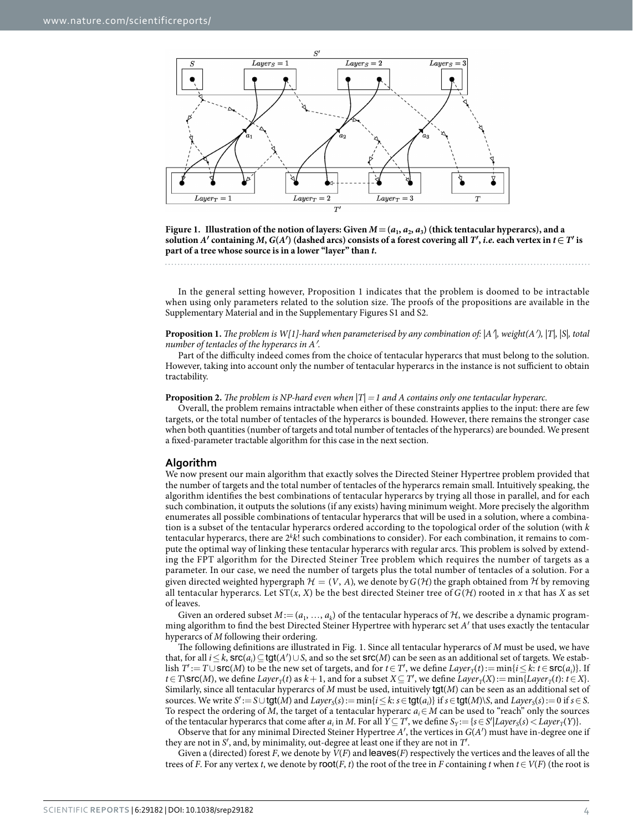

<span id="page-3-0"></span>**Figure 1. Illustration of the notion of layers: Given**  $M = (a_1, a_2, a_3)$  **(thick tentacular hyperarcs), and a** solution A' containing M,  $G(A')$  (dashed arcs) consists of a forest covering all T', *i.e.* each vertex in  $t \in T'$  is **part of a tree whose source is in a lower "layer" than** *t***.** 

In the general setting however, Proposition 1 indicates that the problem is doomed to be intractable when using only parameters related to the solution size. The proofs of the propositions are available in the Supplementary Material and in the Supplementary Figures S1 and S2.

**Proposition 1.** *The problem is W[1]-hard when parameterised by any combination of: |A′|, weight(A′), |T|, |S|, total number of tentacles of the hyperarcs in A′.*

Part of the difficulty indeed comes from the choice of tentacular hyperarcs that must belong to the solution. However, taking into account only the number of tentacular hyperarcs in the instance is not sufficient to obtain tractability.

#### **Proposition 2.** *The problem is NP-hard even when |T|=1 and A contains only one tentacular hyperarc.*

Overall, the problem remains intractable when either of these constraints applies to the input: there are few targets, or the total number of tentacles of the hyperarcs is bounded. However, there remains the stronger case when both quantities (number of targets and total number of tentacles of the hyperarcs) are bounded. We present a fixed-parameter tractable algorithm for this case in the next section.

#### **Algorithm**

We now present our main algorithm that exactly solves the Directed Steiner Hypertree problem provided that the number of targets and the total number of tentacles of the hyperarcs remain small. Intuitively speaking, the algorithm identifies the best combinations of tentacular hyperarcs by trying all those in parallel, and for each such combination, it outputs the solutions (if any exists) having minimum weight. More precisely the algorithm enumerates all possible combinations of tentacular hyperarcs that will be used in a solution, where a combination is a subset of the tentacular hyperarcs ordered according to the topological order of the solution (with *k* tentacular hyperarcs, there are 2*<sup>k</sup> k*! such combinations to consider). For each combination, it remains to compute the optimal way of linking these tentacular hyperarcs with regular arcs. This problem is solved by extending the FPT algorithm for the Directed Steiner Tree problem which requires the number of targets as a parameter. In our case, we need the number of targets plus the total number of tentacles of a solution. For a given directed weighted hypergraph  $\mathcal{H} = (V, A)$ , we denote by  $G(\mathcal{H})$  the graph obtained from  $\mathcal{H}$  by removing all tentacular hyperarcs. Let  $ST(x, X)$  be the best directed Steiner tree of  $G(\mathcal{H})$  rooted in x that has X as set of leaves.

Given an ordered subset  $M:=(a_1, ..., a_k)$  of the tentacular hyperacs of  $H$ , we describe a dynamic programming algorithm to find the best Directed Steiner Hypertree with hyperarc set *A*′ that uses exactly the tentacular hyperarcs of *M* following their ordering.

The following definitions are illustrated in [Fig. 1](#page-3-0). Since all tentacular hyperarcs of *M* must be used, we have that, for all  $i \leq k$ ,  $\text{src}(a_i) \subseteq \text{tgt}(A') \cup S$ , and so the set  $\text{src}(M)$  can be seen as an additional set of targets. We establish *T'* := *T*∪**src**(*M*) to be the new set of targets, and for *t*∈*T'*, we define *Layer<sub>T</sub>*(*t*):= min{*i*≤*k*: *t*∈**src**(*a<sub>i</sub>*)}. If  $t \in T$ \src(*M*), we define  $Layer_{T}(t)$  as  $k+1$ , and for a subset  $X \subseteq T'$ , we define  $Layer_{T}(X) := min\{Layer_{T}(t): t \in X\}$ . Similarly, since all tentacular hyperarcs of *M* must be used, intuitively tgt(*M*) can be seen as an additional set of sources. We write  $S' := S \cup \text{tgt}(M)$  and  $Layer_S(s) := \min\{i \leq k : s \in \text{tgt}(a_i)\}$  if  $s \in \text{tgt}(M) \setminus S$ , and  $Layer_S(s) := 0$  if  $s \in S$ . To respect the ordering of *M*, the target of a tentacular hyperarc *ai*∈*M* can be used to "reach" only the sources of the tentacular hyperarcs that come after  $a_i$  in *M*. For all  $Y \subseteq T'$ , we define  $S_Y := \{s \in S' | Layer_S(s) < Layer_T(Y)\}$ .

Observe that for any minimal Directed Steiner Hypertree *A*′, the vertices in *G*(*A*′) must have in-degree one if they are not in *S*′, and, by minimality, out-degree at least one if they are not in *T*′.

Given a (directed) forest *F*, we denote by *V*(*F*) and leaves(*F*) respectively the vertices and the leaves of all the trees of *F*. For any vertex *t*, we denote by  $\text{root}(F, t)$  the root of the tree in *F* containing *t* when  $t \in V(F)$  (the root is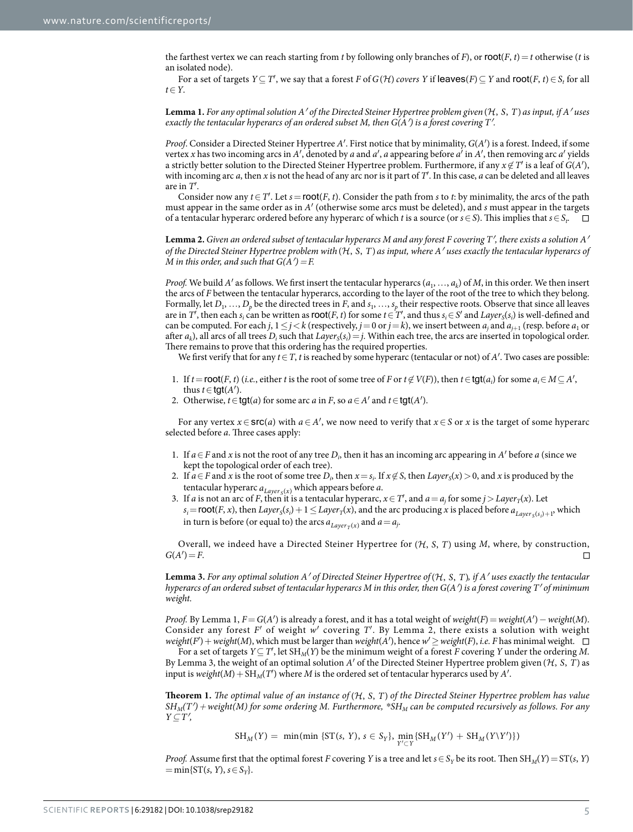the farthest vertex we can reach starting from *t* by following only branches of *F*), or  $\text{root}(F, t) = t$  otherwise (*t* is an isolated node).

For a set of targets *Y*⊆*T'*, we say that a forest *F* of *G*(*H*) *covers Y* if leaves(*F*)⊆*Y* and root(*F*, *t*) ∈ *S*, for all *t*∈*Y*.

**Lemma 1.** *For any optimal solution A′ of the Directed Steiner Hypertree problem given*( , *S T*, ) *as input, if A′ uses exactly the tentacular hyperarcs of an ordered subset M, then G(A′) is a forest covering T′.*

*Proof*. Consider a Directed Steiner Hypertree *A*′. First notice that by minimality, *G*(*A*′) is a forest. Indeed, if some vertex *x* has two incoming arcs in *A*′, denoted by *a* and *a*′, *a* appearing before *a*′ in *A*′, then removing arc *a*′ yields a strictly better solution to the Directed Steiner Hypertree problem. Furthermore, if any  $x \notin T'$  is a leaf of  $G(A')$ , with incoming arc *a*, then *x* is not the head of any arc nor is it part of *T*′. In this case, *a* can be deleted and all leaves are in *T*′.

Consider now any  $t \in T'$ . Let  $s = \text{root}(F, t)$ . Consider the path from *s* to *t*: by minimality, the arcs of the path must appear in the same order as in *A*′ (otherwise some arcs must be deleted), and *s* must appear in the targets of a tentacular hyperarc ordered before any hyperarc of which *t* is a source (or  $s \in S$ ). This implies that  $s \in S_t$ .  $\Box$ 

**Lemma 2.** *Given an ordered subset of tentacular hyperarcs M and any forest F covering T′, there exists a solution A′ of the Directed Steiner Hypertree problem with* ( $H$ , S, T) *as input, where A<sup>'</sup> uses exactly the tentacular hyperarcs of M* in this order, and such that  $G(A') = F$ .

*Proof.* We build *A*′ as follows. We first insert the tentacular hyperarcs (*a*1, …, *ak*) of *M*, in this order. We then insert the arcs of *F* between the tentacular hyperarcs, according to the layer of the root of the tree to which they belong. Formally, let  $D_1$ , ...,  $D_p$  be the directed trees in *F*, and  $s_1$ , ...,  $s_p$  their respective roots. Observe that since all leaves are in *T'*, then each  $s_i$  can be written as  $\text{root}(F, t)$  for some  $t \in T'$ , and thus  $s_i \in S'$  and  $Layer_S(s_i)$  is well-defined and can be computed. For each *j*,  $1 \leq j < k$  (respectively, *j* = 0 or *j* = *k*), we insert between  $a_j$  and  $a_{j+1}$  (resp. before  $a_1$  or after  $a_k$ ), all arcs of all trees  $D_i$  such that  $Layer_S(s_i) = j$ . Within each tree, the arcs are inserted in topological order. There remains to prove that this ordering has the required properties.

We first verify that for any  $t \in T$ , *t* is reached by some hyperarc (tentacular or not) of *A'*. Two cases are possible:

- 1. If  $t = \text{root}(F, t)$  (*i.e.*, either *t* is the root of some tree of  $F$  or  $t \notin V(F)$ ), then  $t \in \text{tgt}(a_i)$  for some  $a_i \in M \subseteq A'$ , thus *t*∈tgt( $A'$ ).
- 2. Otherwise,  $t \in \text{tgt}(a)$  for some arc  $a$  in  $F$ , so  $a \in A'$  and  $t \in \text{tgt}(A')$ .

For any vertex  $x \in \text{src}(a)$  with  $a \in A'$ , we now need to verify that  $x \in S$  or  $x$  is the target of some hyperarc selected before *a*. Three cases apply:

- 1. If *a* ∈ *F* and *x* is not the root of any tree  $D<sub>i</sub>$ , then it has an incoming arc appearing in *A*<sup>*'*</sup> before *a* (since we kept the topological order of each tree).
- 2. If  $a \in F$  and  $x$  is the root of some tree  $D_i$ , then  $x = s_i$ . If  $x \notin S$ , then *Layer*<sub>S</sub>( $x$ ) > 0, and  $x$  is produced by the tentacular hyperarc  $a_{Layer_S(x)}$  which appears before  $a$ .
- 3. If *a* is not an arc of *F*, then it is a tentacular hyperarc,  $x \in T'$ , and  $a = a_j$  for some  $j > Layer_T(x)$ . Let  $s_i$  = **root**(*F*, *x*), then *Layer*<sub>S</sub>( $s_i$ ) + 1 ≤ *Layer*<sub>T</sub>(*x*), and the arc producing *x* is placed before  $a_{Layer_S(s_i)+1}$ , which in turn is before (or equal to) the arcs  $a_{Layer_T(x)}$  and  $a = a_j$ .

Overall, we indeed have a Directed Steiner Hypertree for  $(H, S, T)$  using *M*, where, by construction,  $G(A') = F$ .  $G(A') = F.$ 

**Lemma 3.** For any optimal solution A<sup>*'*</sup> of Directed Steiner Hypertree of  $(H, S, T)$ , if A<sup>*'*</sup> uses exactly the tentacular *hyperarcs of an ordered subset of tentacular hyperarcs M in this order, then G(A′) is a forest covering T′ of minimum weight.*

*Proof.* By Lemma 1, *F*=*G*(*A*′) is already a forest, and it has a total weight of *weight*(*F*)=*weight*(*A*′)−*weight*(*M*). Consider any forest *F*′ of weight *w*′ covering *T*′. By Lemma 2, there exists a solution with weight *weight*(*F*′)+*weight*(*M*), which must be larger than *weight*(*A*′), hence *w*′≥*weight*(*F*), *i.e. F* has minimal weight. ◻

For a set of targets  $Y \subseteq T'$ , let SH<sub>M</sub>(*Y*) be the minimum weight of a forest *F* covering *Y* under the ordering *M*. By Lemma 3, the weight of an optimal solution *A'* of the Directed Steiner Hypertree problem given (*H*, *S*, *T*) as input is *weight*( $M$ ) + SH<sub>M</sub>( $T'$ ) where  $M$  is the ordered set of tentacular hyperarcs used by  $A'$ .

**Theorem 1.** *The optimal value of an instance of*  $(H, S, T)$  *of the Directed Steiner Hypertree problem has value*  $SH<sub>M</sub>(T')$  + weight(M) for some ordering M. Furthermore,  $*SH<sub>M</sub>$  can be computed recursively as follows. For any *Y⊆T′,*

 $SH_M(Y) = \min(\min \{ST(s, Y), s \in S_Y\}, \min_{Y' \subset Y} \{SH_M(Y') + SH_M(Y \setminus Y')\})$ 

*Proof.* Assume first that the optimal forest *F* covering *Y* is a tree and let  $s \in S_Y$  be its root. Then  $SH_M(Y) = ST(s, Y)$  $=$ min{ST(*s*, *Y*), *s*  $\in$  S<sub>*Y*</sub>}.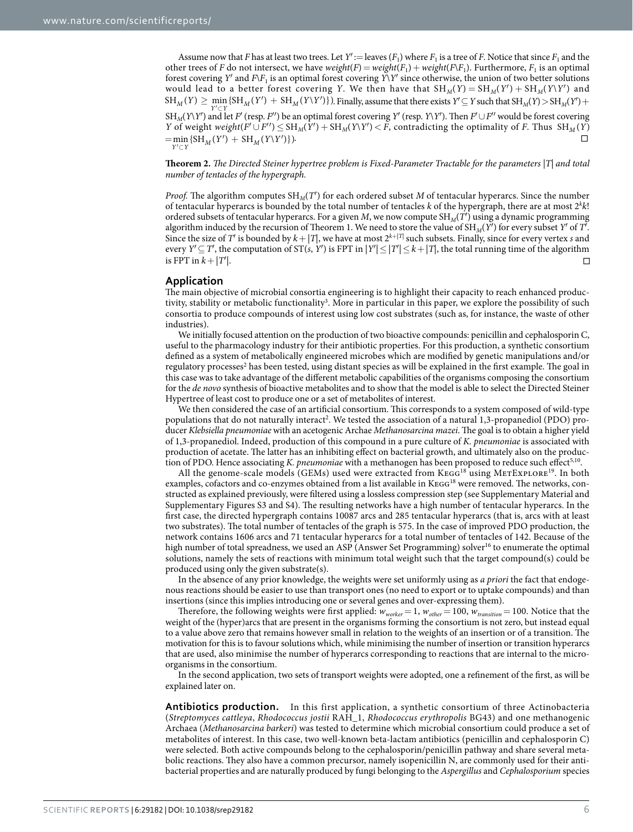Assume now that *F* has at least two trees. Let  $Y' :=$  leaves  $(F_1)$  where  $F_1$  is a tree of *F*. Notice that since  $F_1$  and the other trees of *F* do not intersect, we have *weight*(*F*) = *weight*( $F_1$ ) + *weight*( $F_1$ ). Furthermore,  $F_1$  is an optimal forest covering *Y'* and  $F\backslash F_1$  is an optimal forest covering *Y*\*Y'* since otherwise, the union of two better solutions would lead to a better forest covering *Y*. We then have that  $SH_M(Y) = SH_M(Y) + SH_M(Y)Y'$  and  $SH_M(Y) \ge \min_{Y' \subset Y} \{SH_M(Y') + SH_M(Y \setminus Y')\}$ ). Finally, assume that there exists  $Y' \subseteq Y$  such that  $SH_M(Y) > SH_M(Y') + H_M(Y)$  $SH_M(Y|Y')$  and let *F'* (resp. *F''*) be an optimal forest covering *Y'* (resp. *Y*\*Y'*). Then *F'*∪*F''* would be forest covering *Y* of weight  $weight(F' \cup F'') \leq SH_M(Y') + SH_M(Y \setminus Y') < F$ , contradicting the optimality of *F*. Thus  $SH_M(Y) = min\{SH \cup (Y') + SH \cup (Y \setminus Y')\}$  $=\min_{Y' \subset Y} \{ SH_M(Y') + SH_M(Y \setminus Y') \}.$ 

**Theorem 2.** *The Directed Steiner hypertree problem is Fixed-Parameter Tractable for the parameters |T| and total number of tentacles of the hypergraph.*

*Proof.* The algorithm computes SH*M*(*T*′) for each ordered subset *M* of tentacular hyperarcs. Since the number of tentacular hyperarcs is bounded by the total number of tentacles *k* of the hypergraph, there are at most 2*<sup>k</sup> k*! ordered subsets of tentacular hyperarcs. For a given *M*, we now compute SH*M*(*T*′) using a dynamic programming algorithm induced by the recursion of Theorem 1. We need to store the value of SH*M*(*Y*′) for every subset *Y*′ of *T*′. Since the size of *T'* is bounded by  $k+|T|$ , we have at most  $2^{k+|T|}$  such subsets. Finally, since for every vertex *s* and every *Y*<sup>'</sup>  $\subseteq$  *T*', the computation of ST(*s*, *Y*<sup>'</sup>) is FPT in  $|Y'| \le |T'| \le k + |T|$ , the total running time of the algorithm is FPT in  $k + |T'|$ .

#### **Application**

The main objective of microbial consortia engineering is to highlight their capacity to reach enhanced productivity, stability or metabolic functionality[3](#page-10-14) . More in particular in this paper, we explore the possibility of such consortia to produce compounds of interest using low cost substrates (such as, for instance, the waste of other industries).

We initially focused attention on the production of two bioactive compounds: penicillin and cephalosporin C, useful to the pharmacology industry for their antibiotic properties. For this production, a synthetic consortium defined as a system of metabolically engineered microbes which are modified by genetic manipulations and/or regulatory processes<sup>2</sup> has been tested, using distant species as will be explained in the first example. The goal in this case was to take advantage of the different metabolic capabilities of the organisms composing the consortium for the *de novo* synthesis of bioactive metabolites and to show that the model is able to select the Directed Steiner Hypertree of least cost to produce one or a set of metabolites of interest.

We then considered the case of an artificial consortium. This corresponds to a system composed of wild-type populations that do not naturally interact<sup>2</sup>. We tested the association of a natural 1,3-propanediol (PDO) producer *Klebsiella pneumoniae* with an acetogenic Archae *Methanosarcina mazei*. The goal is to obtain a higher yield of 1,3-propanediol. Indeed, production of this compound in a pure culture of *K. pneumoniae* is associated with production of acetate. The latter has an inhibiting effect on bacterial growth, and ultimately also on the production of PDO. Hence associating *K. pneumoniae* with a methanogen has been proposed to reduce such effect<sup>5[,10](#page-10-6)</sup>.

All the genome-scale models (GEMs) used were extracted from  $KEGG<sup>18</sup>$  using METEXPLORE<sup>19</sup>. In both examples, cofactors and co-enzymes obtained from a list available in KEGG<sup>18</sup> were removed. The networks, constructed as explained previously, were filtered using a lossless compression step (see Supplementary Material and Supplementary Figures S3 and S4). The resulting networks have a high number of tentacular hyperarcs. In the first case, the directed hypergraph contains 10087 arcs and 285 tentacular hyperarcs (that is, arcs with at least two substrates). The total number of tentacles of the graph is 575. In the case of improved PDO production, the network contains 1606 arcs and 71 tentacular hyperarcs for a total number of tentacles of 142. Because of the high number of total spreadness, we used an ASP (Answer Set Programming) solver<sup>16</sup> to enumerate the optimal solutions, namely the sets of reactions with minimum total weight such that the target compound(s) could be produced using only the given substrate(s).

In the absence of any prior knowledge, the weights were set uniformly using as *a priori* the fact that endogenous reactions should be easier to use than transport ones (no need to export or to uptake compounds) and than insertions (since this implies introducing one or several genes and over-expressing them).

Therefore, the following weights were first applied: *wworker*=1, *wother*=100, *wtransition*=100. Notice that the weight of the (hyper)arcs that are present in the organisms forming the consortium is not zero, but instead equal to a value above zero that remains however small in relation to the weights of an insertion or of a transition. The motivation for this is to favour solutions which, while minimising the number of insertion or transition hyperarcs that are used, also minimise the number of hyperarcs corresponding to reactions that are internal to the microorganisms in the consortium.

In the second application, two sets of transport weights were adopted, one a refinement of the first, as will be explained later on.

**Antibiotics production.** In this first application, a synthetic consortium of three Actinobacteria (*Streptomyces cattleya*, *Rhodococcus jostii* RAH\_1, *Rhodococcus erythropolis* BG43) and one methanogenic Archaea (*Methanosarcina barkeri*) was tested to determine which microbial consortium could produce a set of metabolites of interest. In this case, two well-known beta-lactam antibiotics (penicillin and cephalosporin C) were selected. Both active compounds belong to the cephalosporin/penicillin pathway and share several metabolic reactions. They also have a common precursor, namely isopenicillin N, are commonly used for their antibacterial properties and are naturally produced by fungi belonging to the *Aspergillus* and *Cephalosporium* species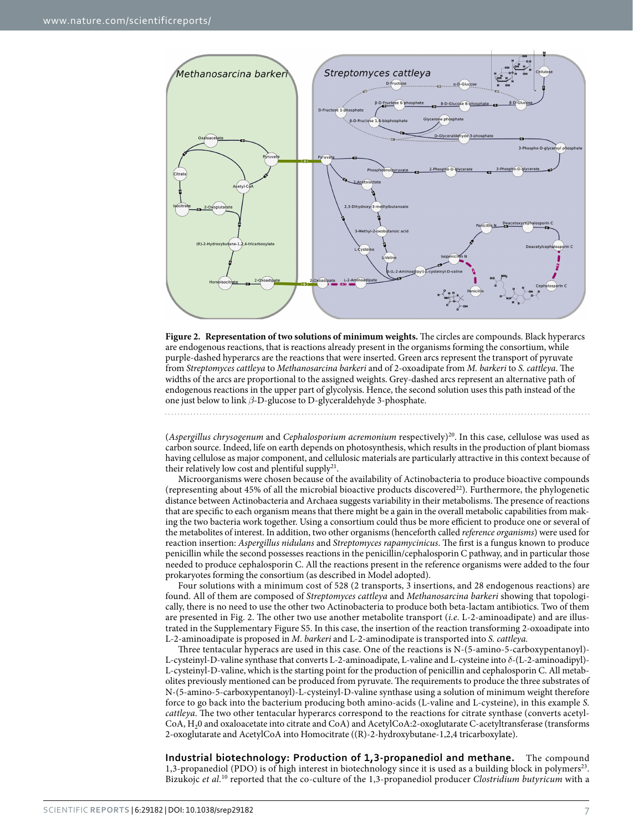

<span id="page-6-0"></span>**Figure 2. Representation of two solutions of minimum weights.** The circles are compounds. Black hyperarcs are endogenous reactions, that is reactions already present in the organisms forming the consortium, while purple-dashed hyperarcs are the reactions that were inserted. Green arcs represent the transport of pyruvate from *Streptomyces cattleya* to *Methanosarcina barkeri* and of 2-oxoadipate from *M. barkeri* to *S. cattleya*. The widths of the arcs are proportional to the assigned weights. Grey-dashed arcs represent an alternative path of endogenous reactions in the upper part of glycolysis. Hence, the second solution uses this path instead of the one just below to link *β*-D-glucose to D-glyceraldehyde 3-phosphate.

(*Aspergillus chrysogenum* and *Cephalosporium acremonium* respectively)[20.](#page-10-18) In this case, cellulose was used as carbon source. Indeed, life on earth depends on photosynthesis, which results in the production of plant biomass having cellulose as major component, and cellulosic materials are particularly attractive in this context because of their relatively low cost and plentiful supply<sup>21</sup>.

Microorganisms were chosen because of the availability of Actinobacteria to produce bioactive compounds (representing about 45% of all the microbial bioactive products discovered $22$ ). Furthermore, the phylogenetic distance between Actinobacteria and Archaea suggests variability in their metabolisms. The presence of reactions that are specific to each organism means that there might be a gain in the overall metabolic capabilities from making the two bacteria work together. Using a consortium could thus be more efficient to produce one or several of the metabolites of interest. In addition, two other organisms (henceforth called *reference organisms*) were used for reaction insertion: *Aspergillus nidulans* and *Streptomyces rapamycinicus*. The first is a fungus known to produce penicillin while the second possesses reactions in the penicillin/cephalosporin C pathway, and in particular those needed to produce cephalosporin C. All the reactions present in the reference organisms were added to the four prokaryotes forming the consortium (as described in Model adopted).

Four solutions with a minimum cost of 528 (2 transports, 3 insertions, and 28 endogenous reactions) are found. All of them are composed of *Streptomyces cattleya* and *Methanosarcina barkeri* showing that topologically, there is no need to use the other two Actinobacteria to produce both beta-lactam antibiotics. Two of them are presented in [Fig. 2](#page-6-0). The other two use another metabolite transport (*i.e.* L-2-aminoadipate) and are illustrated in the Supplementary Figure S5. In this case, the insertion of the reaction transforming 2-oxoadipate into L-2-aminoadipate is proposed in *M. barkeri* and L-2-aminodipate is transported into *S. cattleya.*

Three tentacular hyperacs are used in this case. One of the reactions is N-(5-amino-5-carboxypentanoyl)- L-cysteinyl-D-valine synthase that converts L-2-aminoadipate, L-valine and L-cysteine into *δ*-(L-2-aminoadipyl)- L-cysteinyl-D-valine, which is the starting point for the production of penicillin and cephalosporin C. All metabolites previously mentioned can be produced from pyruvate. The requirements to produce the three substrates of N-(5-amino-5-carboxypentanoyl)-L-cysteinyl-D-valine synthase using a solution of minimum weight therefore force to go back into the bacterium producing both amino-acids (L-valine and L-cysteine), in this example *S. cattleya*. The two other tentacular hyperarcs correspond to the reactions for citrate synthase (converts acetyl-CoA, H20 and oxaloacetate into citrate and CoA) and AcetylCoA:2-oxoglutarate C-acetyltransferase (transforms 2-oxoglutarate and AcetylCoA into Homocitrate ((R)-2-hydroxybutane-1,2,4 tricarboxylate).

**Industrial biotechnology: Production of 1,3-propanediol and methane.** The compound 1,3-propanediol (PDO) is of high interest in biotechnology since it is used as a building block in polymers<sup>23</sup>. Bizukojc *et al.*[10](#page-10-6) reported that the co-culture of the 1,3-propanediol producer *Clostridium butyricum* with a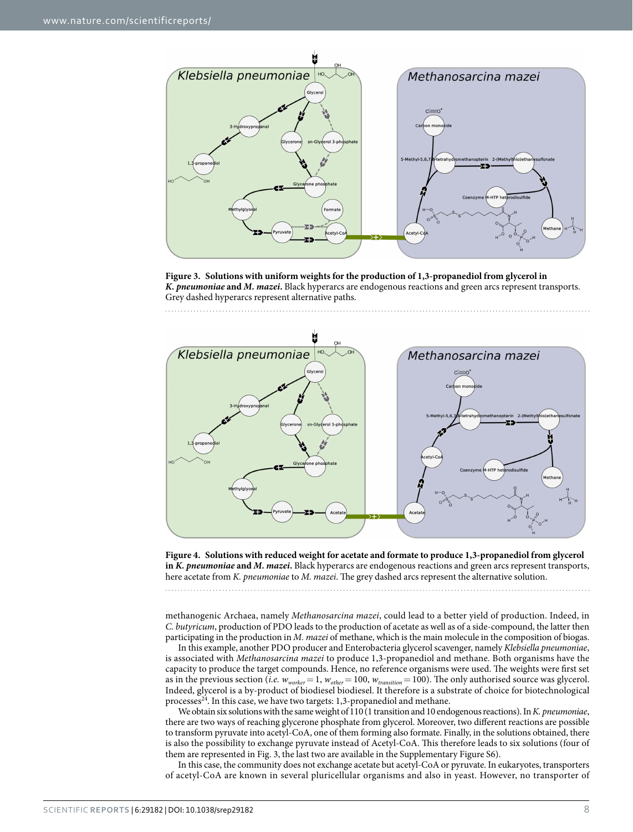

<span id="page-7-0"></span>**Figure 3. Solutions with uniform weights for the production of 1,3-propanediol from glycerol in**  *K. pneumoniae* **and** *M. mazei***.** Black hyperarcs are endogenous reactions and green arcs represent transports. Grey dashed hyperarcs represent alternative paths.



<span id="page-7-1"></span>**Figure 4. Solutions with reduced weight for acetate and formate to produce 1,3-propanediol from glycerol in** *K. pneumoniae* **and** *M. mazei***.** Black hyperarcs are endogenous reactions and green arcs represent transports, here acetate from *K. pneumoniae* to *M. mazei*. The grey dashed arcs represent the alternative solution.

methanogenic Archaea, namely *Methanosarcina mazei*, could lead to a better yield of production. Indeed, in *C. butyricum*, production of PDO leads to the production of acetate as well as of a side-compound, the latter then participating in the production in *M. mazei* of methane, which is the main molecule in the composition of biogas.

In this example, another PDO producer and Enterobacteria glycerol scavenger, namely *Klebsiella pneumoniae*, is associated with *Methanosarcina mazei* to produce 1,3-propanediol and methane. Both organisms have the capacity to produce the target compounds. Hence, no reference organisms were used. The weights were first set as in the previous section (*i.e. wworker*=1, *wother*=100, *wtransition*=100). The only authorised source was glycerol. Indeed, glycerol is a by-product of biodiesel biodiesel. It therefore is a substrate of choice for biotechnological processes<sup>[24](#page-10-22)</sup>. In this case, we have two targets: 1,3-propanediol and methane.

We obtain six solutions with the same weight of 110 (1 transition and 10 endogenous reactions). In *K. pneumoniae*, there are two ways of reaching glycerone phosphate from glycerol. Moreover, two different reactions are possible to transform pyruvate into acetyl-CoA, one of them forming also formate. Finally, in the solutions obtained, there is also the possibility to exchange pyruvate instead of Acetyl-CoA. This therefore leads to six solutions (four of them are represented in [Fig. 3,](#page-7-0) the last two are available in the Supplementary Figure S6).

In this case, the community does not exchange acetate but acetyl-CoA or pyruvate. In eukaryotes, transporters of acetyl-CoA are known in several pluricellular organisms and also in yeast. However, no transporter of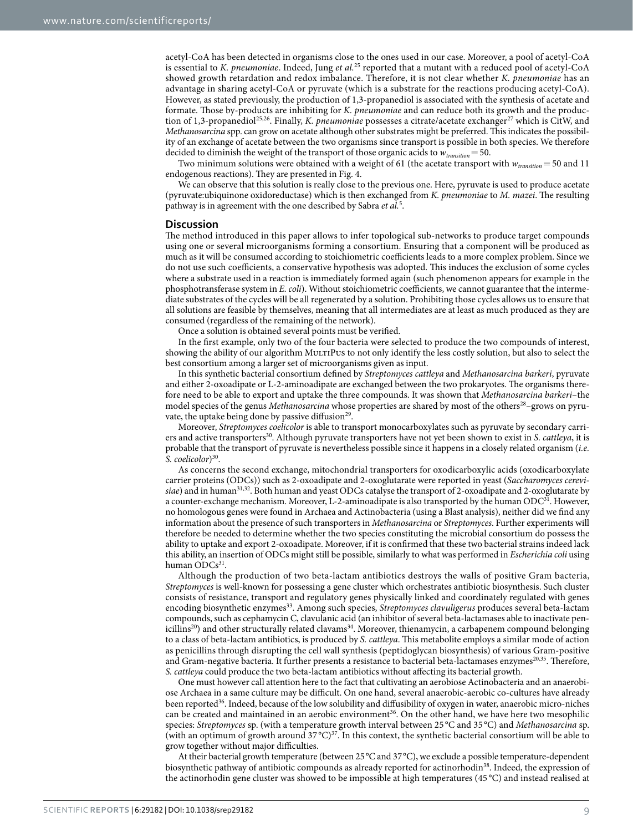acetyl-CoA has been detected in organisms close to the ones used in our case. Moreover, a pool of acetyl-CoA is essential to *K. pneumoniae*. Indeed, Jung *et al.*[25](#page-10-23) reported that a mutant with a reduced pool of acetyl-CoA showed growth retardation and redox imbalance. Therefore, it is not clear whether *K. pneumoniae* has an advantage in sharing acetyl-CoA or pyruvate (which is a substrate for the reactions producing acetyl-CoA). However, as stated previously, the production of 1,3-propanediol is associated with the synthesis of acetate and formate. Those by-products are inhibiting for *K. pneumoniae* and can reduce both its growth and the produc-tion of 1,3-propanediol<sup>[25,](#page-10-23)26</sup>. Finally, *K. pneumoniae* possesses a citrate/acetate exchanger<sup>27</sup> which is CitW, and *Methanosarcina* spp. can grow on acetate although other substrates might be preferred. This indicates the possibility of an exchange of acetate between the two organisms since transport is possible in both species. We therefore decided to diminish the weight of the transport of those organic acids to  $w_{transition} = 50$ .

Two minimum solutions were obtained with a weight of 61 (the acetate transport with *wtransition*=50 and 11 endogenous reactions). They are presented in [Fig. 4](#page-7-1).

We can observe that this solution is really close to the previous one. Here, pyruvate is used to produce acetate (pyruvate:ubiquinone oxidoreductase) which is then exchanged from *K. pneumoniae* to *M. mazei*. The resulting pathway is in agreement with the one described by Sabra *et al.*[5](#page-10-15) .

#### **Discussion**

The method introduced in this paper allows to infer topological sub-networks to produce target compounds using one or several microorganisms forming a consortium. Ensuring that a component will be produced as much as it will be consumed according to stoichiometric coefficients leads to a more complex problem. Since we do not use such coefficients, a conservative hypothesis was adopted. This induces the exclusion of some cycles where a substrate used in a reaction is immediately formed again (such phenomenon appears for example in the phosphotransferase system in *E. coli*). Without stoichiometric coefficients, we cannot guarantee that the intermediate substrates of the cycles will be all regenerated by a solution. Prohibiting those cycles allows us to ensure that all solutions are feasible by themselves, meaning that all intermediates are at least as much produced as they are consumed (regardless of the remaining of the network).

Once a solution is obtained several points must be verified.

In the first example, only two of the four bacteria were selected to produce the two compounds of interest, showing the ability of our algorithm MULTIPUS to not only identify the less costly solution, but also to select the best consortium among a larger set of microorganisms given as input.

In this synthetic bacterial consortium defined by *Streptomyces cattleya* and *Methanosarcina barkeri*, pyruvate and either 2-oxoadipate or L-2-aminoadipate are exchanged between the two prokaryotes. The organisms therefore need to be able to export and uptake the three compounds. It was shown that *Methanosarcina barkeri*–the model species of the genus *Methanosarcina* whose properties are shared by most of the others<sup>28</sup>–grows on pyru-vate, the uptake being done by passive diffusion<sup>[29](#page-10-27)</sup>.

Moreover, *Streptomyces coelicolor* is able to transport monocarboxylates such as pyruvate by secondary carriers and active transporters<sup>30</sup>. Although pyruvate transporters have not yet been shown to exist in *S. cattleya*, it is probable that the transport of pyruvate is nevertheless possible since it happens in a closely related organism (*i.e. S. coelicolor*)[30](#page-10-28).

As concerns the second exchange, mitochondrial transporters for oxodicarboxylic acids (oxodicarboxylate carrier proteins (ODCs)) such as 2-oxoadipate and 2-oxoglutarate were reported in yeast (*Saccharomyces cerevisiae*) and in human[31](#page-10-29),[32](#page-10-30). Both human and yeast ODCs catalyse the transport of 2-oxoadipate and 2-oxoglutarate by a counter-exchange mechanism. Moreover, L-2-aminoadipate is also transported by the human ODC<sup>[31](#page-10-29)</sup>. However, no homologous genes were found in Archaea and Actinobacteria (using a Blast analysis), neither did we find any information about the presence of such transporters in *Methanosarcina* or *Streptomyces*. Further experiments will therefore be needed to determine whether the two species constituting the microbial consortium do possess the ability to uptake and export 2-oxoadipate. Moreover, if it is confirmed that these two bacterial strains indeed lack this ability, an insertion of ODCs might still be possible, similarly to what was performed in *Escherichia coli* using human ODCs<sup>[31](#page-10-29)</sup>

Although the production of two beta-lactam antibiotics destroys the walls of positive Gram bacteria, *Streptomyces* is well-known for possessing a gene cluster which orchestrates antibiotic biosynthesis. Such cluster consists of resistance, transport and regulatory genes physically linked and coordinately regulated with genes encoding biosynthetic enzymes<sup>[33](#page-10-31)</sup>. Among such species, *Streptomyces clavuligerus* produces several beta-lactam compounds, such as cephamycin C, clavulanic acid (an inhibitor of several beta-lactamases able to inactivate pen-icillins<sup>[20](#page-10-18)</sup>) and other structurally related clavams<sup>[34](#page-10-32)</sup>. Moreover, thienamycin, a carbapenem compound belonging to a class of beta-lactam antibiotics, is produced by *S. cattleya*. This metabolite employs a similar mode of action as penicillins through disrupting the cell wall synthesis (peptidoglycan biosynthesis) of various Gram-positive and Gram-negative bacteria. It further presents a resistance to bacterial beta-lactamases enzymes<sup>[20](#page-10-18)[,35](#page-10-33)</sup>. Therefore, *S. cattleya* could produce the two beta-lactam antibiotics without affecting its bacterial growth.

One must however call attention here to the fact that cultivating an aerobiose Actinobacteria and an anaerobiose Archaea in a same culture may be difficult. On one hand, several anaerobic-aerobic co-cultures have already been reported<sup>[36](#page-10-34)</sup>. Indeed, because of the low solubility and diffusibility of oxygen in water, anaerobic micro-niches can be created and maintained in an aerobic environment<sup>36</sup>. On the other hand, we have here two mesophilic species: *Streptomyces* sp. (with a temperature growth interval between 25 °C and 35 °C) and *Methanosarcina* sp. (with an optimum of growth around  $37^{\circ}$ C)<sup>37</sup>. In this context, the synthetic bacterial consortium will be able to grow together without major difficulties.

At their bacterial growth temperature (between 25°C and 37°C), we exclude a possible temperature-dependent biosynthetic pathway of antibiotic compounds as already reported for actinorhodin<sup>38</sup>. Indeed, the expression of the actinorhodin gene cluster was showed to be impossible at high temperatures (45 °C) and instead realised at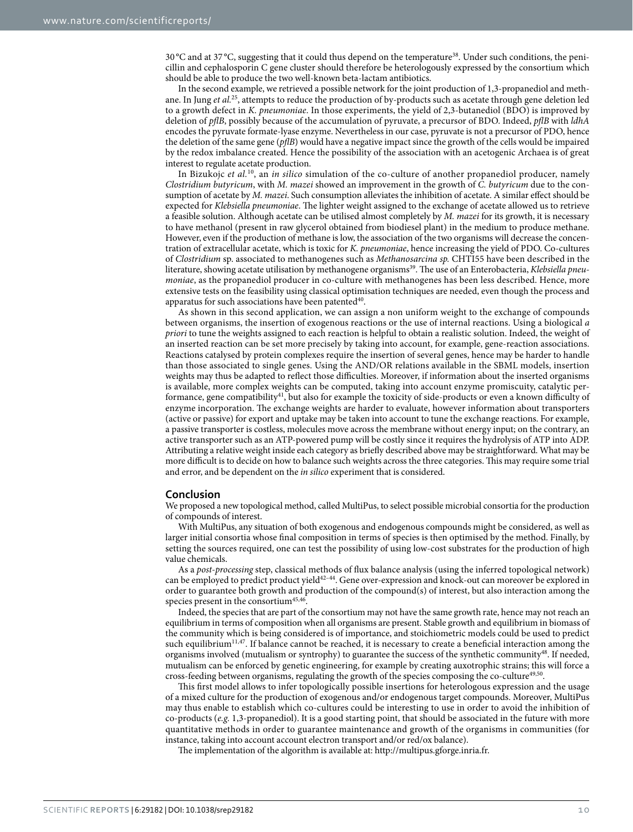30 °C and at 37 °C, suggesting that it could thus depend on the temperature[38](#page-10-36). Under such conditions, the penicillin and cephalosporin C gene cluster should therefore be heterologously expressed by the consortium which should be able to produce the two well-known beta-lactam antibiotics.

In the second example, we retrieved a possible network for the joint production of 1,3-propanediol and methane. In Jung *et al.*[25,](#page-10-23) attempts to reduce the production of by-products such as acetate through gene deletion led to a growth defect in *K. pneumoniae*. In those experiments, the yield of 2,3-butanediol (BDO) is improved by deletion of *pflB*, possibly because of the accumulation of pyruvate, a precursor of BDO. Indeed, *pflB* with *ldhA* encodes the pyruvate formate-lyase enzyme. Nevertheless in our case, pyruvate is not a precursor of PDO, hence the deletion of the same gene (*pflB*) would have a negative impact since the growth of the cells would be impaired by the redox imbalance created. Hence the possibility of the association with an acetogenic Archaea is of great interest to regulate acetate production.

In Bizukojc *et al.*[10,](#page-10-6) an *in silico* simulation of the co-culture of another propanediol producer, namely *Clostridium butyricum*, with *M. mazei* showed an improvement in the growth of *C. butyricum* due to the consumption of acetate by *M. mazei*. Such consumption alleviates the inhibition of acetate. A similar effect should be expected for *Klebsiella pneumoniae*. The lighter weight assigned to the exchange of acetate allowed us to retrieve a feasible solution. Although acetate can be utilised almost completely by *M. mazei* for its growth, it is necessary to have methanol (present in raw glycerol obtained from biodiesel plant) in the medium to produce methane. However, even if the production of methane is low, the association of the two organisms will decrease the concentration of extracellular acetate, which is toxic for *K. pneumoniae*, hence increasing the yield of PDO. Co-cultures of *Clostridium* sp. associated to methanogenes such as *Methanosarcina sp.* CHTI55 have been described in the literature, showing acetate utilisation by methanogene organisms<sup>39</sup>. The use of an Enterobacteria, *Klebsiella pneumoniae*, as the propanediol producer in co-culture with methanogenes has been less described. Hence, more extensive tests on the feasibility using classical optimisation techniques are needed, even though the process and apparatus for such associations have been patented<sup>40</sup>.

As shown in this second application, we can assign a non uniform weight to the exchange of compounds between organisms, the insertion of exogenous reactions or the use of internal reactions. Using a biological *a priori* to tune the weights assigned to each reaction is helpful to obtain a realistic solution. Indeed, the weight of an inserted reaction can be set more precisely by taking into account, for example, gene-reaction associations. Reactions catalysed by protein complexes require the insertion of several genes, hence may be harder to handle than those associated to single genes. Using the AND/OR relations available in the SBML models, insertion weights may thus be adapted to reflect those difficulties. Moreover, if information about the inserted organisms is available, more complex weights can be computed, taking into account enzyme promiscuity, catalytic performance, gene compatibility<sup>41</sup>, but also for example the toxicity of side-products or even a known difficulty of enzyme incorporation. The exchange weights are harder to evaluate, however information about transporters (active or passive) for export and uptake may be taken into account to tune the exchange reactions. For example, a passive transporter is costless, molecules move across the membrane without energy input; on the contrary, an active transporter such as an ATP-powered pump will be costly since it requires the hydrolysis of ATP into ADP. Attributing a relative weight inside each category as briefly described above may be straightforward. What may be more difficult is to decide on how to balance such weights across the three categories. This may require some trial and error, and be dependent on the *in silico* experiment that is considered.

#### **Conclusion**

We proposed a new topological method, called MultiPus, to select possible microbial consortia for the production of compounds of interest.

With MultiPus, any situation of both exogenous and endogenous compounds might be considered, as well as larger initial consortia whose final composition in terms of species is then optimised by the method. Finally, by setting the sources required, one can test the possibility of using low-cost substrates for the production of high value chemicals.

As a *post-processing* step, classical methods of flux balance analysis (using the inferred topological network) can be employed to predict product yield<sup>42-44</sup>. Gene over-expression and knock-out can moreover be explored in order to guarantee both growth and production of the compound(s) of interest, but also interaction among the species present in the consortium<sup>45,46</sup>.

Indeed, the species that are part of the consortium may not have the same growth rate, hence may not reach an equilibrium in terms of composition when all organisms are present. Stable growth and equilibrium in biomass of the community which is being considered is of importance, and stoichiometric models could be used to predict such equilibrium $11,47$ . If balance cannot be reached, it is necessary to create a beneficial interaction among the organisms involved (mutualism or syntrophy) to guarantee the success of the synthetic community<sup>48</sup>. If needed, mutualism can be enforced by genetic engineering, for example by creating auxotrophic strains; this will force a cross-feeding between organisms, regulating the growth of the species composing the co-culture<sup>49,50</sup>.

This first model allows to infer topologically possible insertions for heterologous expression and the usage of a mixed culture for the production of exogenous and/or endogenous target compounds. Moreover, MultiPus may thus enable to establish which co-cultures could be interesting to use in order to avoid the inhibition of co-products (*e.g.* 1,3-propanediol). It is a good starting point, that should be associated in the future with more quantitative methods in order to guarantee maintenance and growth of the organisms in communities (for instance, taking into account account electron transport and/or red/ox balance).

The implementation of the algorithm is available at: [http://multipus.gforge.inria.fr.](http://multipus.gforge.inria.fr)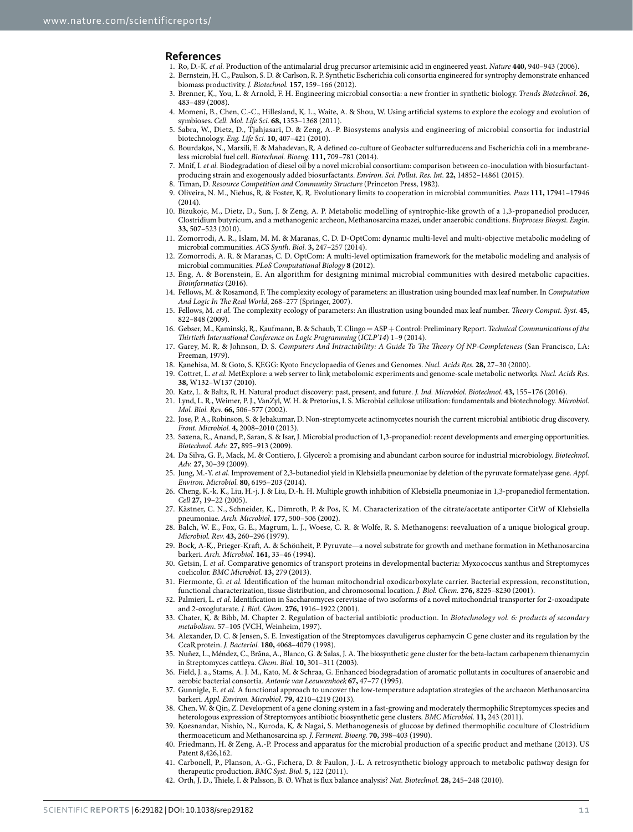#### **References**

- 1. Ro, D.-K. *et al.* Production of the antimalarial drug precursor artemisinic acid in engineered yeast. *Nature* **440,** 940–943 (2006).
- <span id="page-10-1"></span><span id="page-10-0"></span>2. Bernstein, H. C., Paulson, S. D. & Carlson, R. P. Synthetic Escherichia coli consortia engineered for syntrophy demonstrate enhanced biomass productivity. *J. Biotechnol.* **157,** 159–166 (2012).
- <span id="page-10-14"></span>3. Brenner, K., You, L. & Arnold, F. H. Engineering microbial consortia: a new frontier in synthetic biology. *Trends Biotechnol.* **26,** 483–489 (2008).
- 4. Momeni, B., Chen, C.-C., Hillesland, K. L., Waite, A. & Shou, W. Using artificial systems to explore the ecology and evolution of symbioses. *Cell. Mol. Life Sci.* **68,** 1353–1368 (2011).
- <span id="page-10-15"></span>5. Sabra, W., Dietz, D., Tjahjasari, D. & Zeng, A.-P. Biosystems analysis and engineering of microbial consortia for industrial biotechnology. *Eng. Life Sci.* **10,** 407–421 (2010).
- <span id="page-10-2"></span>6. Bourdakos, N., Marsili, E. & Mahadevan, R. A defined co-culture of Geobacter sulfurreducens and Escherichia coli in a membraneless microbial fuel cell. *Biotechnol. Bioeng.* **111,** 709–781 (2014).
- <span id="page-10-3"></span>7. Mnif, I. *et al.* Biodegradation of diesel oil by a novel microbial consortium: comparison between co-inoculation with biosurfactantproducing strain and exogenously added biosurfactants. *Environ. Sci. Pollut. Res. Int.* **22,** 14852–14861 (2015).
- <span id="page-10-4"></span>8. Timan, D. *Resource Competition and Community Structure* (Princeton Press, 1982).
- <span id="page-10-5"></span>9. Oliveira, N. M., Niehus, R. & Foster, K. R. Evolutionary limits to cooperation in microbial communities. *Pnas* **111,** 17941–17946 (2014).
- <span id="page-10-6"></span>10. Bizukojc, M., Dietz, D., Sun, J. & Zeng, A. P. Metabolic modelling of syntrophic-like growth of a 1,3-propanediol producer, Clostridium butyricum, and a methanogenic archeon, Methanosarcina mazei, under anaerobic conditions. *Bioprocess Biosyst. Engin.* **33,** 507–523 (2010).
- <span id="page-10-7"></span>11. Zomorrodi, A. R., Islam, M. M. & Maranas, C. D. D-OptCom: dynamic multi-level and multi-objective metabolic modeling of microbial communities. *ACS Synth. Biol.* **3,** 247–257 (2014).
- <span id="page-10-8"></span>12. Zomorrodi, A. R. & Maranas, C. D. OptCom: A multi-level optimization framework for the metabolic modeling and analysis of microbial communities. *PLoS Computational Biology* **8** (2012).
- <span id="page-10-9"></span>13. Eng, A. & Borenstein, E. An algorithm for designing minimal microbial communities with desired metabolic capacities. *Bioinformatics* (2016).
- <span id="page-10-10"></span>14. Fellows, M. & Rosamond, F. The complexity ecology of parameters: an illustration using bounded max leaf number. In *Computation And Logic In The Real World*, 268–277 (Springer, 2007).
- <span id="page-10-11"></span>15. Fellows, M. *et al.* The complexity ecology of parameters: An illustration using bounded max leaf number. *Theory Comput. Syst.* **45,** 822–848 (2009).
- <span id="page-10-12"></span>16. Gebser, M., Kaminski, R., Kaufmann, B. & Schaub, T. Clingo=ASP+Control: Preliminary Report. *Technical Communications of the Thirtieth International Conference on Logic Programming* (*ICLP'14*) 1–9 (2014).
- <span id="page-10-13"></span>17. Garey, M. R. & Johnson, D. S. *Computers And Intractability: A Guide To The Theory Of NP-Completeness* (San Francisco, LA: Freeman, 1979).
- <span id="page-10-16"></span>18. Kanehisa, M. & Goto, S. KEGG: Kyoto Encyclopaedia of Genes and Genomes. *Nucl. Acids Res*. **28,** 27–30 (2000).
- <span id="page-10-17"></span>19. Cottret, L. *et al.* MetExplore: a web server to link metabolomic experiments and genome-scale metabolic networks. *Nucl. Acids Res.* **38,** W132–W137 (2010).
- <span id="page-10-18"></span>20. Katz, L. & Baltz, R. H. Natural product discovery: past, present, and future. *J. Ind. Microbiol. Biotechnol.* **43,** 155–176 (2016).
- <span id="page-10-19"></span>21. Lynd, L. R., Weimer, P. J., VanZyl, W. H. & Pretorius, I. S. Microbial cellulose utilization: fundamentals and biotechnology. *Microbiol. Mol. Biol. Rev.* **66,** 506–577 (2002).
- <span id="page-10-20"></span>22. Jose, P. A., Robinson, S. & Jebakumar, D. Non-streptomycete actinomycetes nourish the current microbial antibiotic drug discovery. *Front. Microbiol.* **4,** 2008–2010 (2013).
- <span id="page-10-21"></span>23. Saxena, R., Anand, P., Saran, S. & Isar, J. Microbial production of 1,3-propanediol: recent developments and emerging opportunities. *Biotechnol. Adv.* **27,** 895–913 (2009).
- <span id="page-10-22"></span>24. Da Silva, G. P., Mack, M. & Contiero, J. Glycerol: a promising and abundant carbon source for industrial microbiology. *Biotechnol. Adv.* **27,** 30–39 (2009).
- <span id="page-10-23"></span>25. Jung, M.-Y. *et al.* Improvement of 2,3-butanediol yield in Klebsiella pneumoniae by deletion of the pyruvate formatelyase gene. *Appl. Environ. Microbiol.* **80,** 6195–203 (2014).
- <span id="page-10-24"></span>26. Cheng, K.-k. K., Liu, H.-j. J. & Liu, D.-h. H. Multiple growth inhibition of Klebsiella pneumoniae in 1,3-propanediol fermentation. *Cell* **27,** 19–22 (2005).
- <span id="page-10-25"></span>27. Kästner, C. N., Schneider, K., Dimroth, P. & Pos, K. M. Characterization of the citrate/acetate antiporter CitW of Klebsiella pneumoniae. *Arch. Microbiol.* **177,** 500–506 (2002).
- <span id="page-10-26"></span>28. Balch, W. E., Fox, G. E., Magrum, L. J., Woese, C. R. & Wolfe, R. S. Methanogens: reevaluation of a unique biological group. *Microbiol. Rev.* **43,** 260–296 (1979).
- <span id="page-10-27"></span>29. Bock, A-K., Prieger-Kraft, A. & Schönheit, P. Pyruvate—a novel substrate for growth and methane formation in Methanosarcina barkeri. *Arch. Microbiol.* **161,** 33–46 (1994).
- <span id="page-10-28"></span>30. Getsin, I. *et al.* Comparative genomics of transport proteins in developmental bacteria: Myxococcus xanthus and Streptomyces coelicolor. *BMC Microbiol.* **13,** 279 (2013).
- <span id="page-10-29"></span>31. Fiermonte, G. *et al.* Identification of the human mitochondrial oxodicarboxylate carrier. Bacterial expression, reconstitution, functional characterization, tissue distribution, and chromosomal location. *J. Biol. Chem.* **276,** 8225–8230 (2001).
- <span id="page-10-30"></span>32. Palmieri, L. *et al.* Identification in Saccharomyces cerevisiae of two isoforms of a novel mitochondrial transporter for 2-oxoadipate and 2-oxoglutarate. *J. Biol. Chem.* **276,** 1916–1922 (2001).
- <span id="page-10-31"></span>33. Chater, K. & Bibb, M. Chapter 2. Regulation of bacterial antibiotic production. In *Biotechnology vol. 6: products of secondary metabolism*. 57–105 (VCH, Weinheim, 1997).
- <span id="page-10-32"></span>34. Alexander, D. C. & Jensen, S. E. Investigation of the Streptomyces clavuligerus cephamycin C gene cluster and its regulation by the CcaR protein. *J. Bacteriol.* **180,** 4068–4079 (1998).
- <span id="page-10-33"></span>35. Nuñez, L., Méndez, C., Brãna, A., Blanco, G. & Salas, J. A. The biosynthetic gene cluster for the beta-lactam carbapenem thienamycin in Streptomyces cattleya. *Chem. Biol.* **10,** 301–311 (2003).
- <span id="page-10-34"></span>36. Field, J. a., Stams, A. J. M., Kato, M. & Schraa, G. Enhanced biodegradation of aromatic pollutants in cocultures of anaerobic and aerobic bacterial consortia. *Antonie van Leeuwenhoek* **67,** 47–77 (1995).
- <span id="page-10-35"></span>37. Gunnigle, E. *et al.* A functional approach to uncover the low-temperature adaptation strategies of the archaeon Methanosarcina barkeri. *Appl. Environ. Microbiol.* **79,** 4210–4219 (2013).
- <span id="page-10-36"></span>38. Chen, W. & Qin, Z. Development of a gene cloning system in a fast-growing and moderately thermophilic Streptomyces species and heterologous expression of Streptomyces antibiotic biosynthetic gene clusters. *BMC Microbiol.* **11,** 243 (2011).
- <span id="page-10-37"></span>39. Koesnandar, Nishio, N., Kuroda, K. & Nagai, S. Methanogenesis of glucose by defined thermophilic coculture of Clostridium thermoaceticum and Methanosarcina sp. *J. Ferment. Bioeng.* **70,** 398–403 (1990).
- <span id="page-10-38"></span>40. Friedmann, H. & Zeng, A.-P. Process and apparatus for the microbial production of a specific product and methane (2013). US Patent 8,426,162.
- <span id="page-10-39"></span>41. Carbonell, P., Planson, A.-G., Fichera, D. & Faulon, J.-L. A retrosynthetic biology approach to metabolic pathway design for therapeutic production. *BMC Syst. Biol.* **5,** 122 (2011).
- <span id="page-10-40"></span>42. Orth, J. D., Thiele, I. & Palsson, B. Ø. What is flux balance analysis? *Nat. Biotechnol.* **28,** 245–248 (2010).